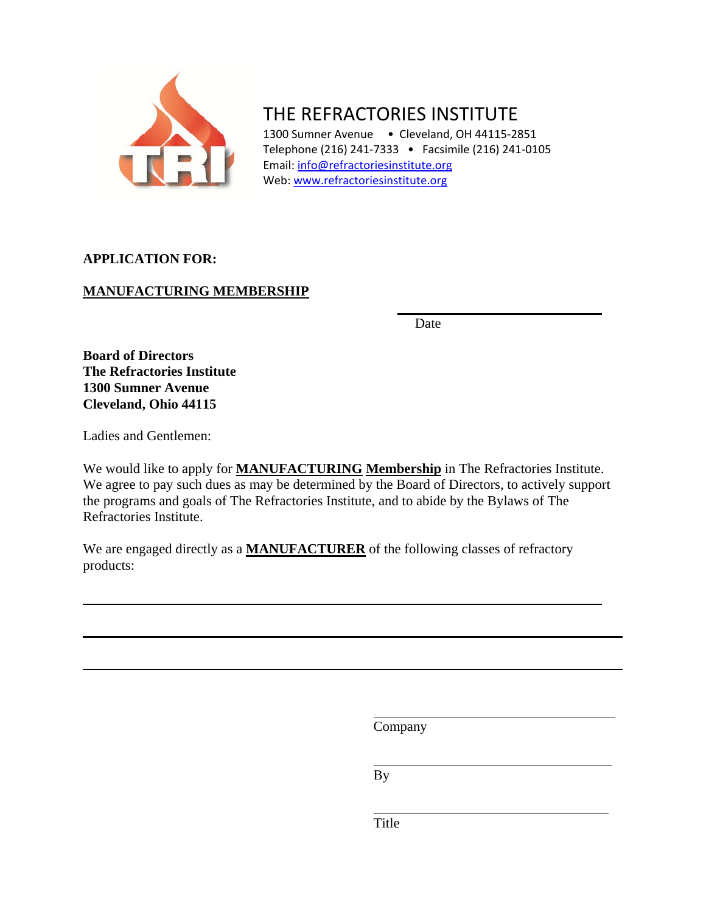

THE REFRACTORIES INSTITUTE

1300 Sumner Avenue • Cleveland, OH 44115-2851 Telephone (216) 241‐7333 • Facsimile (216) 241‐0105 Email: [info@refractoriesinstitute.org](mailto:info@refractoriesinstitute.org) Web: [www.refractoriesinstitute.org](http://www.refractoriesinstitute.org/)

# **APPLICATION FOR:**

# **MANUFACTURING MEMBERSHIP**

**Date Date** 

**Board of Directors The Refractories Institute 1300 Sumner Avenue Cleveland, Ohio 44115** 

Ladies and Gentlemen:

We would like to apply for **MANUFACTURING Membership** in The Refractories Institute. We agree to pay such dues as may be determined by the Board of Directors, to actively support the programs and goals of The Refractories Institute, and to abide by the Bylaws of The Refractories Institute.

We are engaged directly as a **MANUFACTURER** of the following classes of refractory products:

Company

By

Title